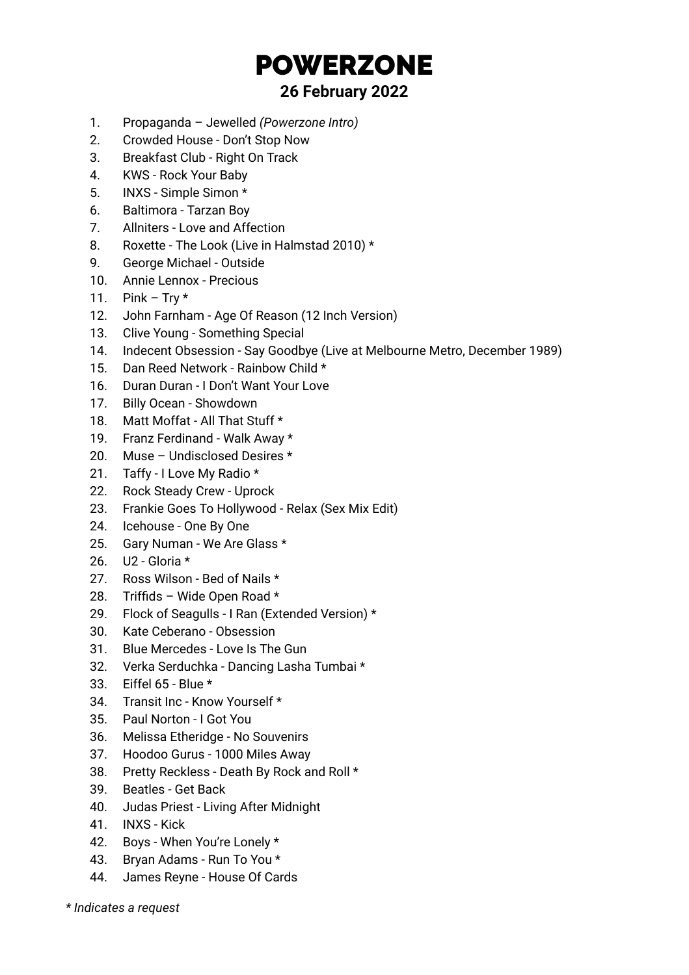## POWERZONE

## **26 February 2022**

- 1. Propaganda Jewelled *(Powerzone Intro)*
- 2. Crowded House Don't Stop Now
- 3. Breakfast Club Right On Track
- 4. KWS Rock Your Baby
- 5. INXS Simple Simon \*
- 6. Baltimora Tarzan Boy
- 7. Allniters Love and Affection
- 8. Roxette The Look (Live in Halmstad 2010) \*
- 9. George Michael Outside
- 10. Annie Lennox Precious
- 11. Pink Try  $*$
- 12. John Farnham Age Of Reason (12 Inch Version)
- 13. Clive Young Something Special
- 14. Indecent Obsession Say Goodbye (Live at Melbourne Metro, December 1989)
- 15. Dan Reed Network Rainbow Child \*
- 16. Duran Duran I Don't Want Your Love
- 17. Billy Ocean Showdown
- 18. Matt Moffat All That Stuff \*
- 19. Franz Ferdinand Walk Away \*
- 20. Muse Undisclosed Desires \*
- 21. Taffy I Love My Radio \*
- 22. Rock Steady Crew Uprock
- 23. Frankie Goes To Hollywood Relax (Sex Mix Edit)
- 24. Icehouse One By One
- 25. Gary Numan We Are Glass \*
- 26. U2 Gloria \*
- 27. Ross Wilson Bed of Nails \*
- 28. Triffids Wide Open Road \*
- 29. Flock of Seagulls I Ran (Extended Version) \*
- 30. Kate Ceberano Obsession
- 31. Blue Mercedes Love Is The Gun
- 32. Verka Serduchka Dancing Lasha Tumbai \*
- 33. Eiffel 65 Blue \*
- 34. Transit Inc Know Yourself \*
- 35. Paul Norton I Got You
- 36. Melissa Etheridge No Souvenirs
- 37. Hoodoo Gurus 1000 Miles Away
- 38. Pretty Reckless Death By Rock and Roll \*
- 39. Beatles Get Back
- 40. Judas Priest Living After Midnight
- 41. INXS Kick
- 42. Boys When You're Lonely \*
- 43. Bryan Adams Run To You \*
- 44. James Reyne House Of Cards
- *\* Indicates a request*